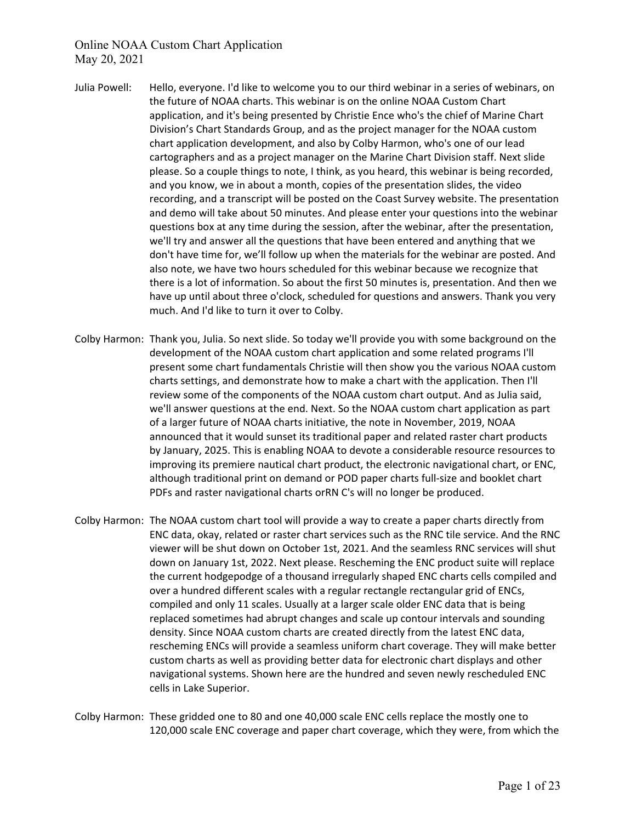- Julia Powell: Hello, everyone. I'd like to welcome you to our third webinar in a series of webinars, on the future of NOAA charts. This webinar is on the online NOAA Custom Chart application, and it's being presented by Christie Ence who's the chief of Marine Chart Division's Chart Standards Group, and as the project manager for the NOAA custom chart application development, and also by Colby Harmon, who's one of our lead cartographers and as a project manager on the Marine Chart Division staff. Next slide please. So a couple things to note, I think, as you heard, this webinar is being recorded, and you know, we in about a month, copies of the presentation slides, the video recording, and a transcript will be posted on the Coast Survey website. The presentation and demo will take about 50 minutes. And please enter your questions into the webinar questions box at any time during the session, after the webinar, after the presentation, we'll try and answer all the questions that have been entered and anything that we don't have time for, we'll follow up when the materials for the webinar are posted. And also note, we have two hours scheduled for this webinar because we recognize that there is a lot of information. So about the first 50 minutes is, presentation. And then we have up until about three o'clock, scheduled for questions and answers. Thank you very much. And I'd like to turn it over to Colby.
- Colby Harmon: Thank you, Julia. So next slide. So today we'll provide you with some background on the development of the NOAA custom chart application and some related programs I'll present some chart fundamentals Christie will then show you the various NOAA custom charts settings, and demonstrate how to make a chart with the application. Then I'll review some of the components of the NOAA custom chart output. And as Julia said, we'll answer questions at the end. Next. So the NOAA custom chart application as part of a larger future of NOAA charts initiative, the note in November, 2019, NOAA announced that it would sunset its traditional paper and related raster chart products by January, 2025. This is enabling NOAA to devote a considerable resource resources to improving its premiere nautical chart product, the electronic navigational chart, or ENC, although traditional print on demand or POD paper charts full-size and booklet chart PDFs and raster navigational charts orRN C's will no longer be produced.
- Colby Harmon: The NOAA custom chart tool will provide a way to create a paper charts directly from ENC data, okay, related or raster chart services such as the RNC tile service. And the RNC viewer will be shut down on October 1st, 2021. And the seamless RNC services will shut down on January 1st, 2022. Next please. Rescheming the ENC product suite will replace the current hodgepodge of a thousand irregularly shaped ENC charts cells compiled and over a hundred different scales with a regular rectangle rectangular grid of ENCs, compiled and only 11 scales. Usually at a larger scale older ENC data that is being replaced sometimes had abrupt changes and scale up contour intervals and sounding density. Since NOAA custom charts are created directly from the latest ENC data, rescheming ENCs will provide a seamless uniform chart coverage. They will make better custom charts as well as providing better data for electronic chart displays and other navigational systems. Shown here are the hundred and seven newly rescheduled ENC cells in Lake Superior.
- Colby Harmon: These gridded one to 80 and one 40,000 scale ENC cells replace the mostly one to 120,000 scale ENC coverage and paper chart coverage, which they were, from which the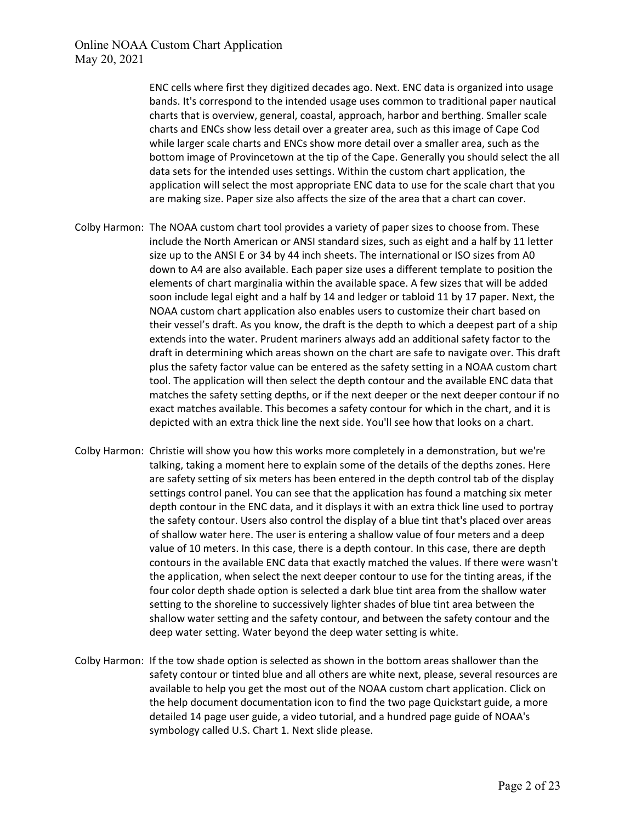ENC cells where first they digitized decades ago. Next. ENC data is organized into usage bands. It's correspond to the intended usage uses common to traditional paper nautical charts that is overview, general, coastal, approach, harbor and berthing. Smaller scale charts and ENCs show less detail over a greater area, such as this image of Cape Cod while larger scale charts and ENCs show more detail over a smaller area, such as the bottom image of Provincetown at the tip of the Cape. Generally you should select the all data sets for the intended uses settings. Within the custom chart application, the application will select the most appropriate ENC data to use for the scale chart that you are making size. Paper size also affects the size of the area that a chart can cover.

- Colby Harmon: The NOAA custom chart tool provides a variety of paper sizes to choose from. These include the North American or ANSI standard sizes, such as eight and a half by 11 letter size up to the ANSI E or 34 by 44 inch sheets. The international or ISO sizes from A0 down to A4 are also available. Each paper size uses a different template to position the elements of chart marginalia within the available space. A few sizes that will be added soon include legal eight and a half by 14 and ledger or tabloid 11 by 17 paper. Next, the NOAA custom chart application also enables users to customize their chart based on their vessel's draft. As you know, the draft is the depth to which a deepest part of a ship extends into the water. Prudent mariners always add an additional safety factor to the draft in determining which areas shown on the chart are safe to navigate over. This draft plus the safety factor value can be entered as the safety setting in a NOAA custom chart tool. The application will then select the depth contour and the available ENC data that matches the safety setting depths, or if the next deeper or the next deeper contour if no exact matches available. This becomes a safety contour for which in the chart, and it is depicted with an extra thick line the next side. You'll see how that looks on a chart.
- Colby Harmon: Christie will show you how this works more completely in a demonstration, but we're talking, taking a moment here to explain some of the details of the depths zones. Here are safety setting of six meters has been entered in the depth control tab of the display settings control panel. You can see that the application has found a matching six meter depth contour in the ENC data, and it displays it with an extra thick line used to portray the safety contour. Users also control the display of a blue tint that's placed over areas of shallow water here. The user is entering a shallow value of four meters and a deep value of 10 meters. In this case, there is a depth contour. In this case, there are depth contours in the available ENC data that exactly matched the values. If there were wasn't the application, when select the next deeper contour to use for the tinting areas, if the four color depth shade option is selected a dark blue tint area from the shallow water setting to the shoreline to successively lighter shades of blue tint area between the shallow water setting and the safety contour, and between the safety contour and the deep water setting. Water beyond the deep water setting is white.
- Colby Harmon: If the tow shade option is selected as shown in the bottom areas shallower than the safety contour or tinted blue and all others are white next, please, several resources are available to help you get the most out of the NOAA custom chart application. Click on the help document documentation icon to find the two page Quickstart guide, a more detailed 14 page user guide, a video tutorial, and a hundred page guide of NOAA's symbology called U.S. Chart 1. Next slide please.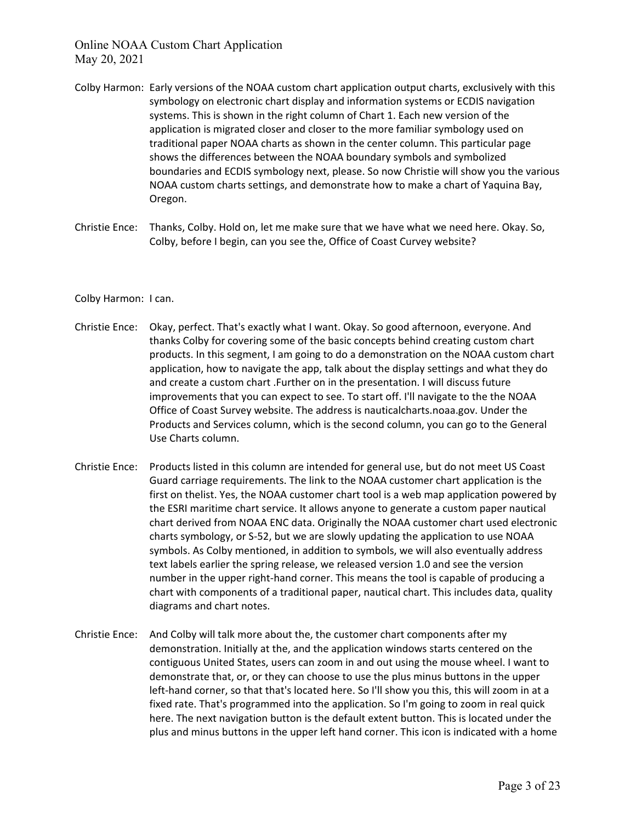- Colby Harmon: Early versions of the NOAA custom chart application output charts, exclusively with this symbology on electronic chart display and information systems or ECDIS navigation systems. This is shown in the right column of Chart 1. Each new version of the application is migrated closer and closer to the more familiar symbology used on traditional paper NOAA charts as shown in the center column. This particular page shows the differences between the NOAA boundary symbols and symbolized boundaries and ECDIS symbology next, please. So now Christie will show you the various NOAA custom charts settings, and demonstrate how to make a chart of Yaquina Bay, Oregon.
- Christie Ence: Thanks, Colby. Hold on, let me make sure that we have what we need here. Okay. So, Colby, before I begin, can you see the, Office of Coast Curvey website?
- Colby Harmon: I can.
- Christie Ence: Okay, perfect. That's exactly what I want. Okay. So good afternoon, everyone. And thanks Colby for covering some of the basic concepts behind creating custom chart products. In this segment, I am going to do a demonstration on the NOAA custom chart application, how to navigate the app, talk about the display settings and what they do and create a custom chart .Further on in the presentation. I will discuss future improvements that you can expect to see. To start off. I'll navigate to the the NOAA Office of Coast Survey website. The address is nauticalcharts.noaa.gov. Under the Products and Services column, which is the second column, you can go to the General Use Charts column.
- Christie Ence: Products listed in this column are intended for general use, but do not meet US Coast Guard carriage requirements. The link to the NOAA customer chart application is the first on thelist. Yes, the NOAA customer chart tool is a web map application powered by the ESRI maritime chart service. It allows anyone to generate a custom paper nautical chart derived from NOAA ENC data. Originally the NOAA customer chart used electronic charts symbology, or S-52, but we are slowly updating the application to use NOAA symbols. As Colby mentioned, in addition to symbols, we will also eventually address text labels earlier the spring release, we released version 1.0 and see the version number in the upper right-hand corner. This means the tool is capable of producing a chart with components of a traditional paper, nautical chart. This includes data, quality diagrams and chart notes.
- Christie Ence: And Colby will talk more about the, the customer chart components after my demonstration. Initially at the, and the application windows starts centered on the contiguous United States, users can zoom in and out using the mouse wheel. I want to demonstrate that, or, or they can choose to use the plus minus buttons in the upper left-hand corner, so that that's located here. So I'll show you this, this will zoom in at a fixed rate. That's programmed into the application. So I'm going to zoom in real quick here. The next navigation button is the default extent button. This is located under the plus and minus buttons in the upper left hand corner. This icon is indicated with a home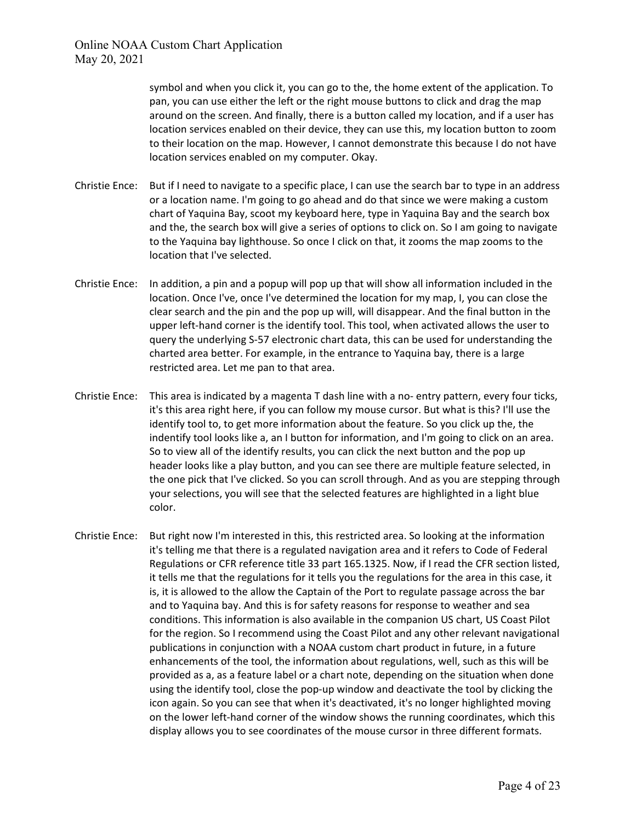> symbol and when you click it, you can go to the, the home extent of the application. To pan, you can use either the left or the right mouse buttons to click and drag the map around on the screen. And finally, there is a button called my location, and if a user has location services enabled on their device, they can use this, my location button to zoom to their location on the map. However, I cannot demonstrate this because I do not have location services enabled on my computer. Okay.

- Christie Ence: But if I need to navigate to a specific place, I can use the search bar to type in an address or a location name. I'm going to go ahead and do that since we were making a custom chart of Yaquina Bay, scoot my keyboard here, type in Yaquina Bay and the search box and the, the search box will give a series of options to click on. So I am going to navigate to the Yaquina bay lighthouse. So once I click on that, it zooms the map zooms to the location that I've selected.
- Christie Ence: In addition, a pin and a popup will pop up that will show all information included in the location. Once I've, once I've determined the location for my map, I, you can close the clear search and the pin and the pop up will, will disappear. And the final button in the upper left-hand corner is the identify tool. This tool, when activated allows the user to query the underlying S-57 electronic chart data, this can be used for understanding the charted area better. For example, in the entrance to Yaquina bay, there is a large restricted area. Let me pan to that area.
- Christie Ence: This area is indicated by a magenta T dash line with a no- entry pattern, every four ticks, it's this area right here, if you can follow my mouse cursor. But what is this? I'll use the identify tool to, to get more information about the feature. So you click up the, the indentify tool looks like a, an I button for information, and I'm going to click on an area. So to view all of the identify results, you can click the next button and the pop up header looks like a play button, and you can see there are multiple feature selected, in the one pick that I've clicked. So you can scroll through. And as you are stepping through your selections, you will see that the selected features are highlighted in a light blue color.
- Christie Ence: But right now I'm interested in this, this restricted area. So looking at the information it's telling me that there is a regulated navigation area and it refers to Code of Federal Regulations or CFR reference title 33 part 165.1325. Now, if I read the CFR section listed, it tells me that the regulations for it tells you the regulations for the area in this case, it is, it is allowed to the allow the Captain of the Port to regulate passage across the bar and to Yaquina bay. And this is for safety reasons for response to weather and sea conditions. This information is also available in the companion US chart, US Coast Pilot for the region. So I recommend using the Coast Pilot and any other relevant navigational publications in conjunction with a NOAA custom chart product in future, in a future enhancements of the tool, the information about regulations, well, such as this will be provided as a, as a feature label or a chart note, depending on the situation when done using the identify tool, close the pop-up window and deactivate the tool by clicking the icon again. So you can see that when it's deactivated, it's no longer highlighted moving on the lower left-hand corner of the window shows the running coordinates, which this display allows you to see coordinates of the mouse cursor in three different formats.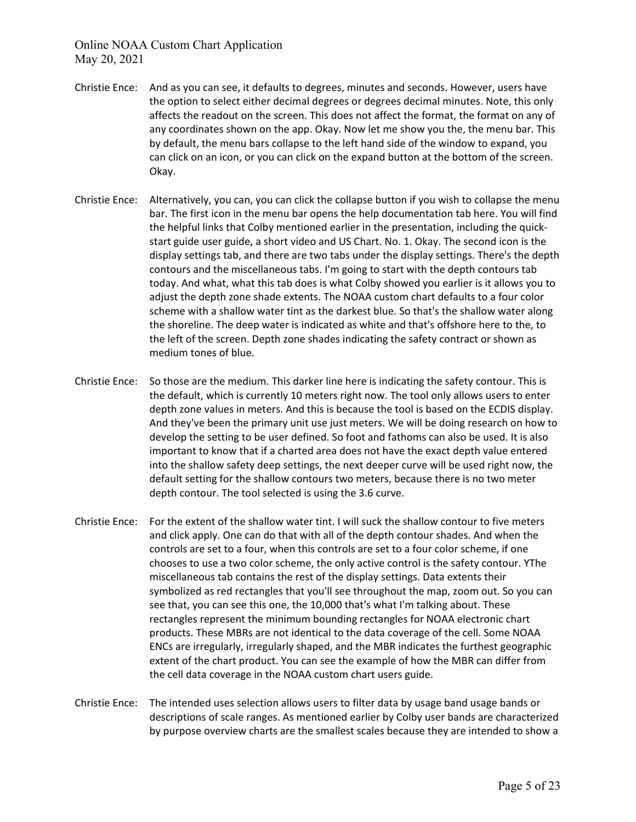- Christie Ence: And as you can see, it defaults to degrees, minutes and seconds. However, users have the option to select either decimal degrees or degrees decimal minutes. Note, this only affects the readout on the screen. This does not affect the format, the format on any of any coordinates shown on the app. Okay. Now let me show you the, the menu bar. This by default, the menu bars collapse to the left hand side of the window to expand, you can click on an icon, or you can click on the expand button at the bottom of the screen. Okay.
- Christie Ence: Alternatively, you can, you can click the collapse button if you wish to collapse the menu bar. The first icon in the menu bar opens the help documentation tab here. You will find the helpful links that Colby mentioned earlier in the presentation, including the quickstart guide user guide, a short video and US Chart. No. 1. Okay. The second icon is the display settings tab, and there are two tabs under the display settings. There's the depth contours and the miscellaneous tabs. I'm going to start with the depth contours tab today. And what, what this tab does is what Colby showed you earlier is it allows you to adjust the depth zone shade extents. The NOAA custom chart defaults to a four color scheme with a shallow water tint as the darkest blue. So that's the shallow water along the shoreline. The deep water is indicated as white and that's offshore here to the, to the left of the screen. Depth zone shades indicating the safety contract or shown as medium tones of blue.
- Christie Ence: So those are the medium. This darker line here is indicating the safety contour. This is the default, which is currently 10 meters right now. The tool only allows users to enter depth zone values in meters. And this is because the tool is based on the ECDIS display. And they've been the primary unit use just meters. We will be doing research on how to develop the setting to be user defined. So foot and fathoms can also be used. It is also important to know that if a charted area does not have the exact depth value entered into the shallow safety deep settings, the next deeper curve will be used right now, the default setting for the shallow contours two meters, because there is no two meter depth contour. The tool selected is using the 3.6 curve.
- Christie Ence: For the extent of the shallow water tint. I will suck the shallow contour to five meters and click apply. One can do that with all of the depth contour shades. And when the controls are set to a four, when this controls are set to a four color scheme, if one chooses to use a two color scheme, the only active control is the safety contour. YThe miscellaneous tab contains the rest of the display settings. Data extents their symbolized as red rectangles that you'll see throughout the map, zoom out. So you can see that, you can see this one, the 10,000 that's what I'm talking about. These rectangles represent the minimum bounding rectangles for NOAA electronic chart products. These MBRs are not identical to the data coverage of the cell. Some NOAA ENCs are irregularly, irregularly shaped, and the MBR indicates the furthest geographic extent of the chart product. You can see the example of how the MBR can differ from the cell data coverage in the NOAA custom chart users guide.
- Christie Ence: The intended uses selection allows users to filter data by usage band usage bands or descriptions of scale ranges. As mentioned earlier by Colby user bands are characterized by purpose overview charts are the smallest scales because they are intended to show a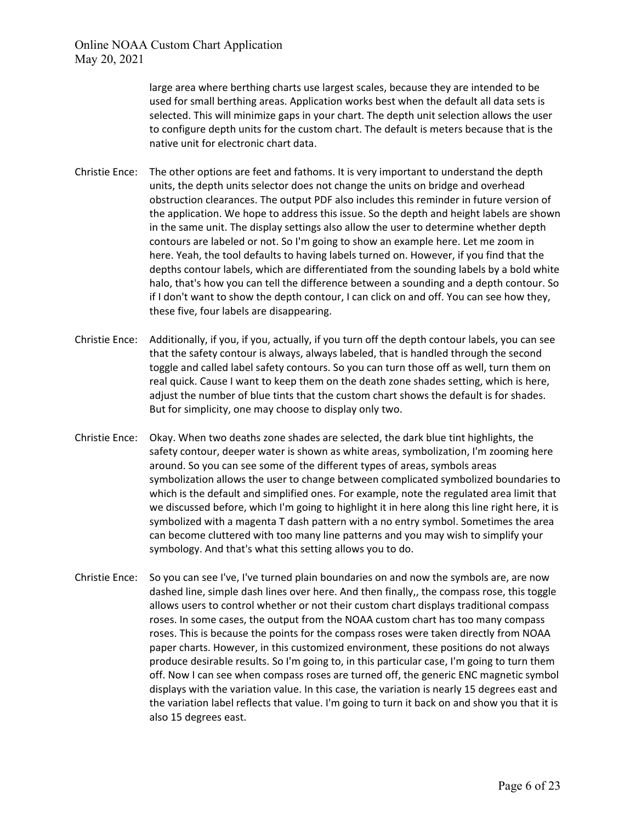large area where berthing charts use largest scales, because they are intended to be used for small berthing areas. Application works best when the default all data sets is selected. This will minimize gaps in your chart. The depth unit selection allows the user to configure depth units for the custom chart. The default is meters because that is the native unit for electronic chart data.

- Christie Ence: The other options are feet and fathoms. It is very important to understand the depth units, the depth units selector does not change the units on bridge and overhead obstruction clearances. The output PDF also includes this reminder in future version of the application. We hope to address this issue. So the depth and height labels are shown in the same unit. The display settings also allow the user to determine whether depth contours are labeled or not. So I'm going to show an example here. Let me zoom in here. Yeah, the tool defaults to having labels turned on. However, if you find that the depths contour labels, which are differentiated from the sounding labels by a bold white halo, that's how you can tell the difference between a sounding and a depth contour. So if I don't want to show the depth contour, I can click on and off. You can see how they, these five, four labels are disappearing.
- Christie Ence: Additionally, if you, if you, actually, if you turn off the depth contour labels, you can see that the safety contour is always, always labeled, that is handled through the second toggle and called label safety contours. So you can turn those off as well, turn them on real quick. Cause I want to keep them on the death zone shades setting, which is here, adjust the number of blue tints that the custom chart shows the default is for shades. But for simplicity, one may choose to display only two.
- Christie Ence: Okay. When two deaths zone shades are selected, the dark blue tint highlights, the safety contour, deeper water is shown as white areas, symbolization, I'm zooming here around. So you can see some of the different types of areas, symbols areas symbolization allows the user to change between complicated symbolized boundaries to which is the default and simplified ones. For example, note the regulated area limit that we discussed before, which I'm going to highlight it in here along this line right here, it is symbolized with a magenta T dash pattern with a no entry symbol. Sometimes the area can become cluttered with too many line patterns and you may wish to simplify your symbology. And that's what this setting allows you to do.
- Christie Ence: So you can see I've, I've turned plain boundaries on and now the symbols are, are now dashed line, simple dash lines over here. And then finally,, the compass rose, this toggle allows users to control whether or not their custom chart displays traditional compass roses. In some cases, the output from the NOAA custom chart has too many compass roses. This is because the points for the compass roses were taken directly from NOAA paper charts. However, in this customized environment, these positions do not always produce desirable results. So I'm going to, in this particular case, I'm going to turn them off. Now I can see when compass roses are turned off, the generic ENC magnetic symbol displays with the variation value. In this case, the variation is nearly 15 degrees east and the variation label reflects that value. I'm going to turn it back on and show you that it is also 15 degrees east.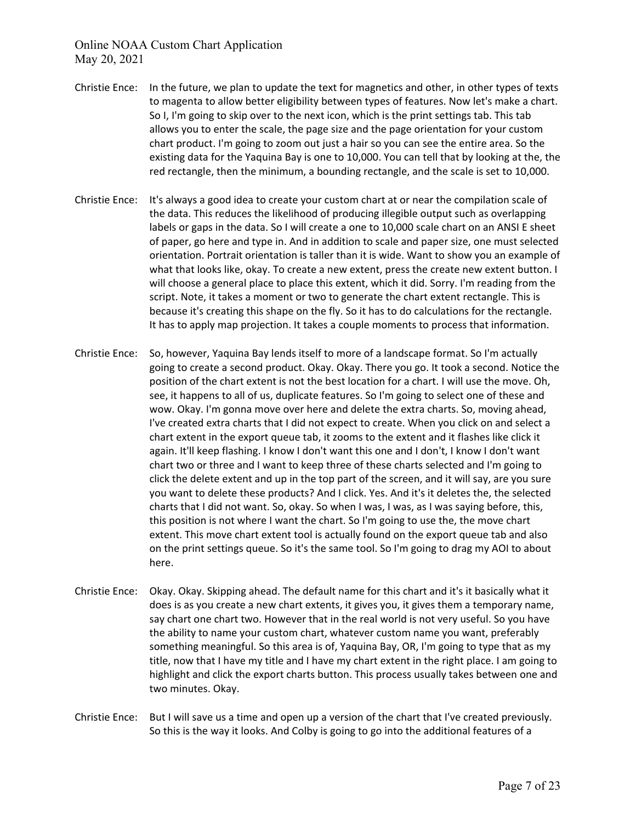- Christie Ence: In the future, we plan to update the text for magnetics and other, in other types of texts to magenta to allow better eligibility between types of features. Now let's make a chart. So I, I'm going to skip over to the next icon, which is the print settings tab. This tab allows you to enter the scale, the page size and the page orientation for your custom chart product. I'm going to zoom out just a hair so you can see the entire area. So the existing data for the Yaquina Bay is one to 10,000. You can tell that by looking at the, the red rectangle, then the minimum, a bounding rectangle, and the scale is set to 10,000.
- Christie Ence: It's always a good idea to create your custom chart at or near the compilation scale of the data. This reduces the likelihood of producing illegible output such as overlapping labels or gaps in the data. So I will create a one to 10,000 scale chart on an ANSI E sheet of paper, go here and type in. And in addition to scale and paper size, one must selected orientation. Portrait orientation is taller than it is wide. Want to show you an example of what that looks like, okay. To create a new extent, press the create new extent button. I will choose a general place to place this extent, which it did. Sorry. I'm reading from the script. Note, it takes a moment or two to generate the chart extent rectangle. This is because it's creating this shape on the fly. So it has to do calculations for the rectangle. It has to apply map projection. It takes a couple moments to process that information.
- Christie Ence: So, however, Yaquina Bay lends itself to more of a landscape format. So I'm actually going to create a second product. Okay. Okay. There you go. It took a second. Notice the position of the chart extent is not the best location for a chart. I will use the move. Oh, see, it happens to all of us, duplicate features. So I'm going to select one of these and wow. Okay. I'm gonna move over here and delete the extra charts. So, moving ahead, I've created extra charts that I did not expect to create. When you click on and select a chart extent in the export queue tab, it zooms to the extent and it flashes like click it again. It'll keep flashing. I know I don't want this one and I don't, I know I don't want chart two or three and I want to keep three of these charts selected and I'm going to click the delete extent and up in the top part of the screen, and it will say, are you sure you want to delete these products? And I click. Yes. And it's it deletes the, the selected charts that I did not want. So, okay. So when I was, I was, as I was saying before, this, this position is not where I want the chart. So I'm going to use the, the move chart extent. This move chart extent tool is actually found on the export queue tab and also on the print settings queue. So it's the same tool. So I'm going to drag my AOI to about here.
- Christie Ence: Okay. Okay. Skipping ahead. The default name for this chart and it's it basically what it does is as you create a new chart extents, it gives you, it gives them a temporary name, say chart one chart two. However that in the real world is not very useful. So you have the ability to name your custom chart, whatever custom name you want, preferably something meaningful. So this area is of, Yaquina Bay, OR, I'm going to type that as my title, now that I have my title and I have my chart extent in the right place. I am going to highlight and click the export charts button. This process usually takes between one and two minutes. Okay.
- Christie Ence: But I will save us a time and open up a version of the chart that I've created previously. So this is the way it looks. And Colby is going to go into the additional features of a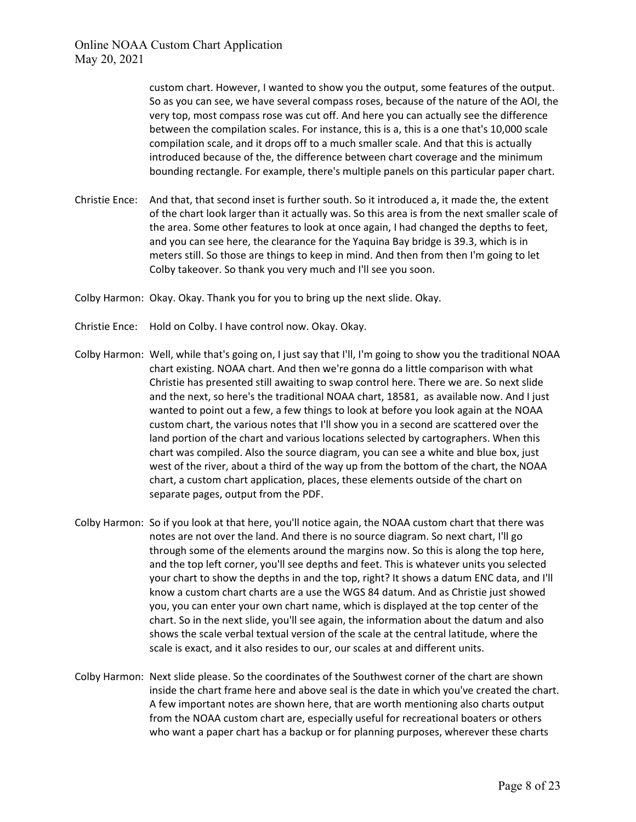custom chart. However, I wanted to show you the output, some features of the output. So as you can see, we have several compass roses, because of the nature of the AOI, the very top, most compass rose was cut off. And here you can actually see the difference between the compilation scales. For instance, this is a, this is a one that's 10,000 scale compilation scale, and it drops off to a much smaller scale. And that this is actually introduced because of the, the difference between chart coverage and the minimum bounding rectangle. For example, there's multiple panels on this particular paper chart.

- Christie Ence: And that, that second inset is further south. So it introduced a, it made the, the extent of the chart look larger than it actually was. So this area is from the next smaller scale of the area. Some other features to look at once again, I had changed the depths to feet, and you can see here, the clearance for the Yaquina Bay bridge is 39.3, which is in meters still. So those are things to keep in mind. And then from then I'm going to let Colby takeover. So thank you very much and I'll see you soon.
- Colby Harmon: Okay. Okay. Thank you for you to bring up the next slide. Okay.
- Christie Ence: Hold on Colby. I have control now. Okay. Okay.
- Colby Harmon: Well, while that's going on, I just say that I'll, I'm going to show you the traditional NOAA chart existing. NOAA chart. And then we're gonna do a little comparison with what Christie has presented still awaiting to swap control here. There we are. So next slide and the next, so here's the traditional NOAA chart, 18581, as available now. And I just wanted to point out a few, a few things to look at before you look again at the NOAA custom chart, the various notes that I'll show you in a second are scattered over the land portion of the chart and various locations selected by cartographers. When this chart was compiled. Also the source diagram, you can see a white and blue box, just west of the river, about a third of the way up from the bottom of the chart, the NOAA chart, a custom chart application, places, these elements outside of the chart on separate pages, output from the PDF.
- Colby Harmon: So if you look at that here, you'll notice again, the NOAA custom chart that there was notes are not over the land. And there is no source diagram. So next chart, I'll go through some of the elements around the margins now. So this is along the top here, and the top left corner, you'll see depths and feet. This is whatever units you selected your chart to show the depths in and the top, right? It shows a datum ENC data, and I'll know a custom chart charts are a use the WGS 84 datum. And as Christie just showed you, you can enter your own chart name, which is displayed at the top center of the chart. So in the next slide, you'll see again, the information about the datum and also shows the scale verbal textual version of the scale at the central latitude, where the scale is exact, and it also resides to our, our scales at and different units.
- Colby Harmon: Next slide please. So the coordinates of the Southwest corner of the chart are shown inside the chart frame here and above seal is the date in which you've created the chart. A few important notes are shown here, that are worth mentioning also charts output from the NOAA custom chart are, especially useful for recreational boaters or others who want a paper chart has a backup or for planning purposes, wherever these charts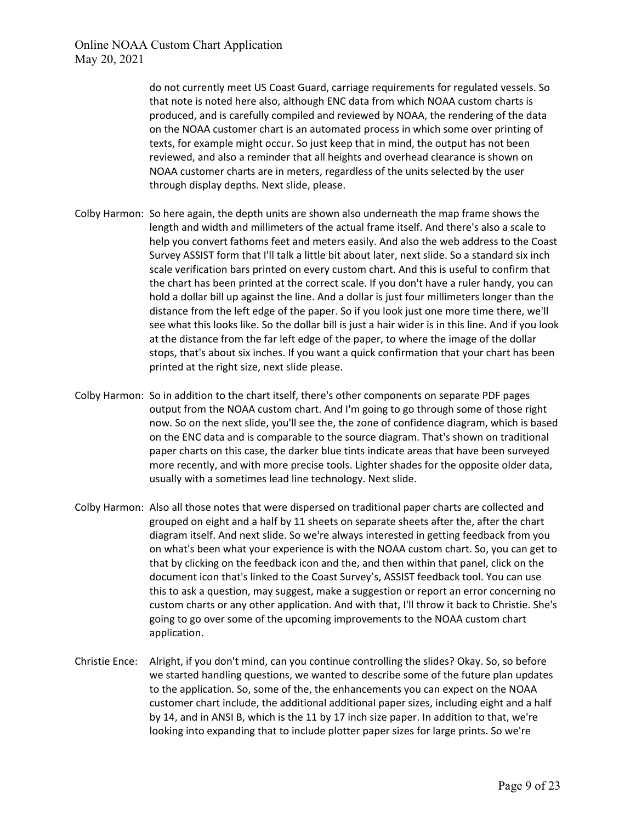do not currently meet US Coast Guard, carriage requirements for regulated vessels. So that note is noted here also, although ENC data from which NOAA custom charts is produced, and is carefully compiled and reviewed by NOAA, the rendering of the data on the NOAA customer chart is an automated process in which some over printing of texts, for example might occur. So just keep that in mind, the output has not been reviewed, and also a reminder that all heights and overhead clearance is shown on NOAA customer charts are in meters, regardless of the units selected by the user through display depths. Next slide, please.

- Colby Harmon: So here again, the depth units are shown also underneath the map frame shows the length and width and millimeters of the actual frame itself. And there's also a scale to help you convert fathoms feet and meters easily. And also the web address to the Coast Survey ASSIST form that I'll talk a little bit about later, next slide. So a standard six inch scale verification bars printed on every custom chart. And this is useful to confirm that the chart has been printed at the correct scale. If you don't have a ruler handy, you can hold a dollar bill up against the line. And a dollar is just four millimeters longer than the distance from the left edge of the paper. So if you look just one more time there, we'll see what this looks like. So the dollar bill is just a hair wider is in this line. And if you look at the distance from the far left edge of the paper, to where the image of the dollar stops, that's about six inches. If you want a quick confirmation that your chart has been printed at the right size, next slide please.
- Colby Harmon: So in addition to the chart itself, there's other components on separate PDF pages output from the NOAA custom chart. And I'm going to go through some of those right now. So on the next slide, you'll see the, the zone of confidence diagram, which is based on the ENC data and is comparable to the source diagram. That's shown on traditional paper charts on this case, the darker blue tints indicate areas that have been surveyed more recently, and with more precise tools. Lighter shades for the opposite older data, usually with a sometimes lead line technology. Next slide.
- Colby Harmon: Also all those notes that were dispersed on traditional paper charts are collected and grouped on eight and a half by 11 sheets on separate sheets after the, after the chart diagram itself. And next slide. So we're always interested in getting feedback from you on what's been what your experience is with the NOAA custom chart. So, you can get to that by clicking on the feedback icon and the, and then within that panel, click on the document icon that's linked to the Coast Survey's, ASSIST feedback tool. You can use this to ask a question, may suggest, make a suggestion or report an error concerning no custom charts or any other application. And with that, I'll throw it back to Christie. She's going to go over some of the upcoming improvements to the NOAA custom chart application.
- Christie Ence: Alright, if you don't mind, can you continue controlling the slides? Okay. So, so before we started handling questions, we wanted to describe some of the future plan updates to the application. So, some of the, the enhancements you can expect on the NOAA customer chart include, the additional additional paper sizes, including eight and a half by 14, and in ANSI B, which is the 11 by 17 inch size paper. In addition to that, we're looking into expanding that to include plotter paper sizes for large prints. So we're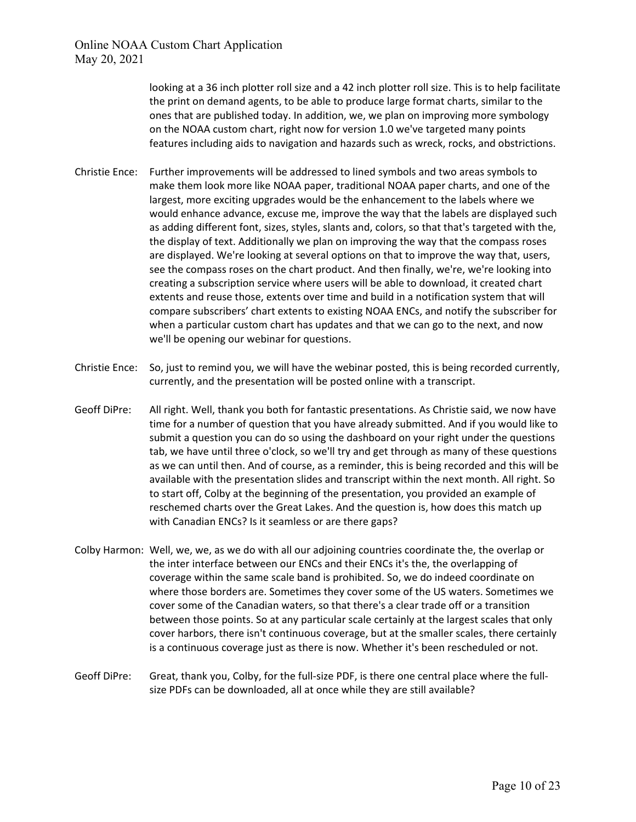> looking at a 36 inch plotter roll size and a 42 inch plotter roll size. This is to help facilitate the print on demand agents, to be able to produce large format charts, similar to the ones that are published today. In addition, we, we plan on improving more symbology on the NOAA custom chart, right now for version 1.0 we've targeted many points features including aids to navigation and hazards such as wreck, rocks, and obstrictions.

- Christie Ence: Further improvements will be addressed to lined symbols and two areas symbols to make them look more like NOAA paper, traditional NOAA paper charts, and one of the largest, more exciting upgrades would be the enhancement to the labels where we would enhance advance, excuse me, improve the way that the labels are displayed such as adding different font, sizes, styles, slants and, colors, so that that's targeted with the, the display of text. Additionally we plan on improving the way that the compass roses are displayed. We're looking at several options on that to improve the way that, users, see the compass roses on the chart product. And then finally, we're, we're looking into creating a subscription service where users will be able to download, it created chart extents and reuse those, extents over time and build in a notification system that will compare subscribers' chart extents to existing NOAA ENCs, and notify the subscriber for when a particular custom chart has updates and that we can go to the next, and now we'll be opening our webinar for questions.
- Christie Ence: So, just to remind you, we will have the webinar posted, this is being recorded currently, currently, and the presentation will be posted online with a transcript.
- Geoff DiPre: All right. Well, thank you both for fantastic presentations. As Christie said, we now have time for a number of question that you have already submitted. And if you would like to submit a question you can do so using the dashboard on your right under the questions tab, we have until three o'clock, so we'll try and get through as many of these questions as we can until then. And of course, as a reminder, this is being recorded and this will be available with the presentation slides and transcript within the next month. All right. So to start off, Colby at the beginning of the presentation, you provided an example of reschemed charts over the Great Lakes. And the question is, how does this match up with Canadian ENCs? Is it seamless or are there gaps?
- Colby Harmon: Well, we, we, as we do with all our adjoining countries coordinate the, the overlap or the inter interface between our ENCs and their ENCs it's the, the overlapping of coverage within the same scale band is prohibited. So, we do indeed coordinate on where those borders are. Sometimes they cover some of the US waters. Sometimes we cover some of the Canadian waters, so that there's a clear trade off or a transition between those points. So at any particular scale certainly at the largest scales that only cover harbors, there isn't continuous coverage, but at the smaller scales, there certainly is a continuous coverage just as there is now. Whether it's been rescheduled or not.
- Geoff DiPre: Great, thank you, Colby, for the full-size PDF, is there one central place where the fullsize PDFs can be downloaded, all at once while they are still available?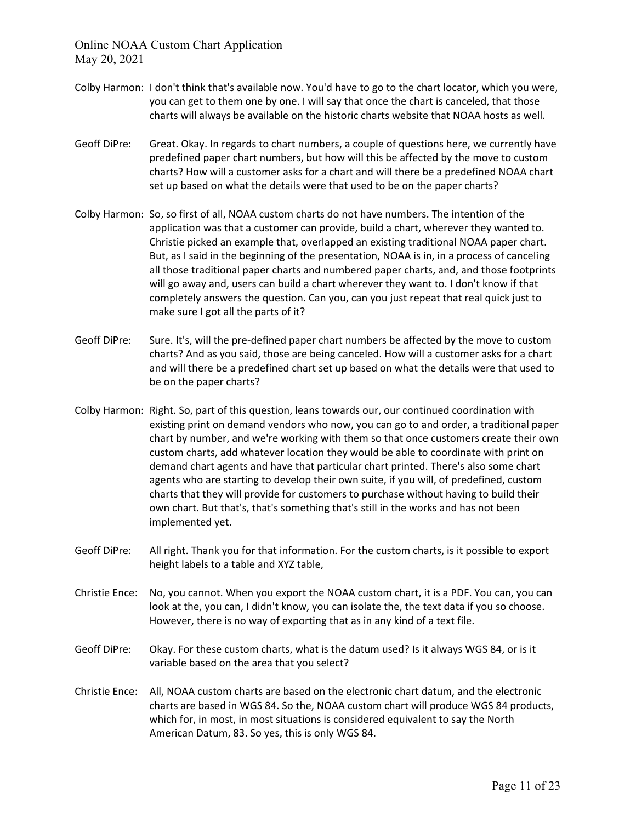- Colby Harmon: I don't think that's available now. You'd have to go to the chart locator, which you were, you can get to them one by one. I will say that once the chart is canceled, that those charts will always be available on the historic charts website that NOAA hosts as well.
- Geoff DiPre: Great. Okay. In regards to chart numbers, a couple of questions here, we currently have predefined paper chart numbers, but how will this be affected by the move to custom charts? How will a customer asks for a chart and will there be a predefined NOAA chart set up based on what the details were that used to be on the paper charts?
- Colby Harmon: So, so first of all, NOAA custom charts do not have numbers. The intention of the application was that a customer can provide, build a chart, wherever they wanted to. Christie picked an example that, overlapped an existing traditional NOAA paper chart. But, as I said in the beginning of the presentation, NOAA is in, in a process of canceling all those traditional paper charts and numbered paper charts, and, and those footprints will go away and, users can build a chart wherever they want to. I don't know if that completely answers the question. Can you, can you just repeat that real quick just to make sure I got all the parts of it?
- Geoff DiPre: Sure. It's, will the pre-defined paper chart numbers be affected by the move to custom charts? And as you said, those are being canceled. How will a customer asks for a chart and will there be a predefined chart set up based on what the details were that used to be on the paper charts?
- Colby Harmon: Right. So, part of this question, leans towards our, our continued coordination with existing print on demand vendors who now, you can go to and order, a traditional paper chart by number, and we're working with them so that once customers create their own custom charts, add whatever location they would be able to coordinate with print on demand chart agents and have that particular chart printed. There's also some chart agents who are starting to develop their own suite, if you will, of predefined, custom charts that they will provide for customers to purchase without having to build their own chart. But that's, that's something that's still in the works and has not been implemented yet.
- Geoff DiPre: All right. Thank you for that information. For the custom charts, is it possible to export height labels to a table and XYZ table,
- Christie Ence: No, you cannot. When you export the NOAA custom chart, it is a PDF. You can, you can look at the, you can, I didn't know, you can isolate the, the text data if you so choose. However, there is no way of exporting that as in any kind of a text file.
- Geoff DiPre: Okay. For these custom charts, what is the datum used? Is it always WGS 84, or is it variable based on the area that you select?
- Christie Ence: All, NOAA custom charts are based on the electronic chart datum, and the electronic charts are based in WGS 84. So the, NOAA custom chart will produce WGS 84 products, which for, in most, in most situations is considered equivalent to say the North American Datum, 83. So yes, this is only WGS 84.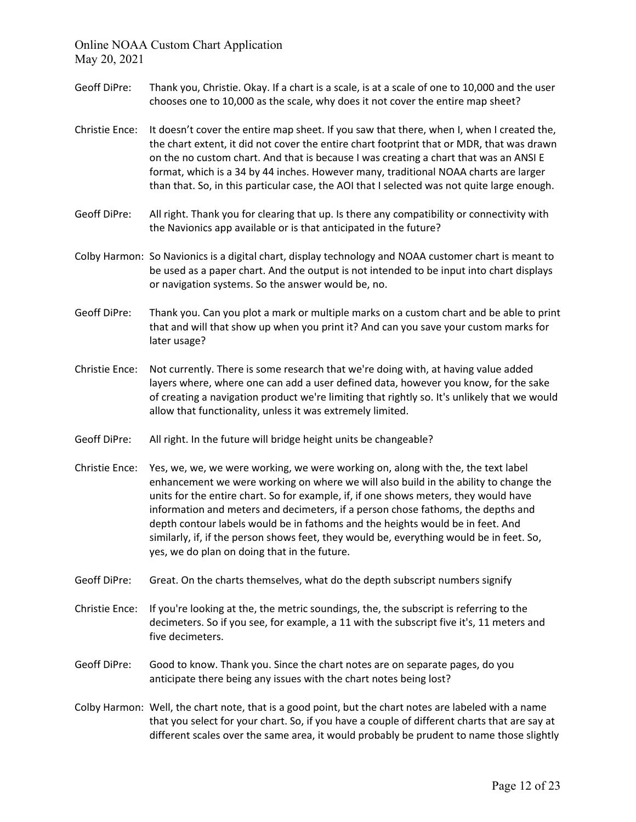- Geoff DiPre: Thank you, Christie. Okay. If a chart is a scale, is at a scale of one to 10,000 and the user chooses one to 10,000 as the scale, why does it not cover the entire map sheet?
- Christie Ence: It doesn't cover the entire map sheet. If you saw that there, when I, when I created the, the chart extent, it did not cover the entire chart footprint that or MDR, that was drawn on the no custom chart. And that is because I was creating a chart that was an ANSI E format, which is a 34 by 44 inches. However many, traditional NOAA charts are larger than that. So, in this particular case, the AOI that I selected was not quite large enough.
- Geoff DiPre: All right. Thank you for clearing that up. Is there any compatibility or connectivity with the Navionics app available or is that anticipated in the future?
- Colby Harmon: So Navionics is a digital chart, display technology and NOAA customer chart is meant to be used as a paper chart. And the output is not intended to be input into chart displays or navigation systems. So the answer would be, no.
- Geoff DiPre: Thank you. Can you plot a mark or multiple marks on a custom chart and be able to print that and will that show up when you print it? And can you save your custom marks for later usage?
- Christie Ence: Not currently. There is some research that we're doing with, at having value added layers where, where one can add a user defined data, however you know, for the sake of creating a navigation product we're limiting that rightly so. It's unlikely that we would allow that functionality, unless it was extremely limited.
- Geoff DiPre: All right. In the future will bridge height units be changeable?
- Christie Ence: Yes, we, we, we were working, we were working on, along with the, the text label enhancement we were working on where we will also build in the ability to change the units for the entire chart. So for example, if, if one shows meters, they would have information and meters and decimeters, if a person chose fathoms, the depths and depth contour labels would be in fathoms and the heights would be in feet. And similarly, if, if the person shows feet, they would be, everything would be in feet. So, yes, we do plan on doing that in the future.
- Geoff DiPre: Great. On the charts themselves, what do the depth subscript numbers signify
- Christie Ence: If you're looking at the, the metric soundings, the, the subscript is referring to the decimeters. So if you see, for example, a 11 with the subscript five it's, 11 meters and five decimeters.
- Geoff DiPre: Good to know. Thank you. Since the chart notes are on separate pages, do you anticipate there being any issues with the chart notes being lost?
- Colby Harmon: Well, the chart note, that is a good point, but the chart notes are labeled with a name that you select for your chart. So, if you have a couple of different charts that are say at different scales over the same area, it would probably be prudent to name those slightly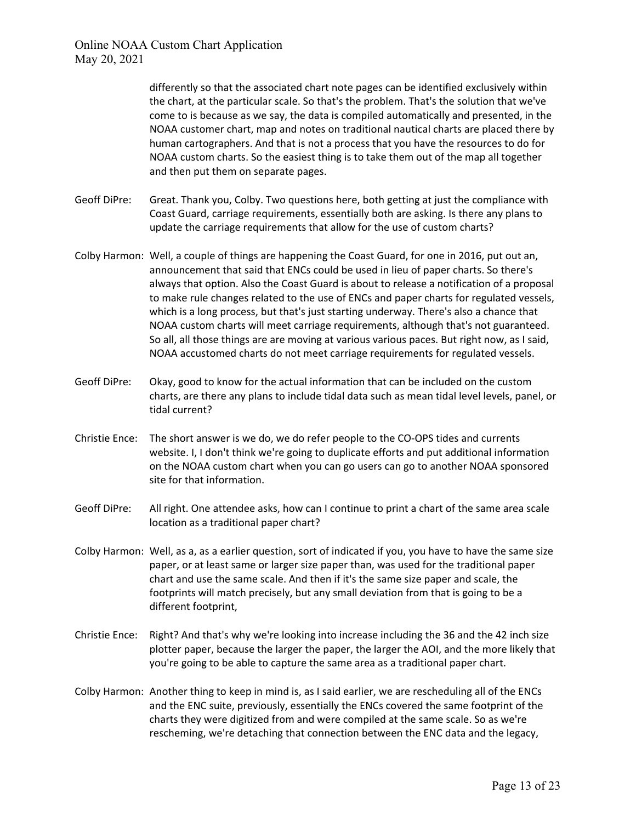> differently so that the associated chart note pages can be identified exclusively within the chart, at the particular scale. So that's the problem. That's the solution that we've come to is because as we say, the data is compiled automatically and presented, in the NOAA customer chart, map and notes on traditional nautical charts are placed there by human cartographers. And that is not a process that you have the resources to do for NOAA custom charts. So the easiest thing is to take them out of the map all together and then put them on separate pages.

- Geoff DiPre: Great. Thank you, Colby. Two questions here, both getting at just the compliance with Coast Guard, carriage requirements, essentially both are asking. Is there any plans to update the carriage requirements that allow for the use of custom charts?
- Colby Harmon: Well, a couple of things are happening the Coast Guard, for one in 2016, put out an, announcement that said that ENCs could be used in lieu of paper charts. So there's always that option. Also the Coast Guard is about to release a notification of a proposal to make rule changes related to the use of ENCs and paper charts for regulated vessels, which is a long process, but that's just starting underway. There's also a chance that NOAA custom charts will meet carriage requirements, although that's not guaranteed. So all, all those things are are moving at various various paces. But right now, as I said, NOAA accustomed charts do not meet carriage requirements for regulated vessels.
- Geoff DiPre: Okay, good to know for the actual information that can be included on the custom charts, are there any plans to include tidal data such as mean tidal level levels, panel, or tidal current?
- Christie Ence: The short answer is we do, we do refer people to the CO-OPS tides and currents website. I, I don't think we're going to duplicate efforts and put additional information on the NOAA custom chart when you can go users can go to another NOAA sponsored site for that information.
- Geoff DiPre: All right. One attendee asks, how can I continue to print a chart of the same area scale location as a traditional paper chart?
- Colby Harmon: Well, as a, as a earlier question, sort of indicated if you, you have to have the same size paper, or at least same or larger size paper than, was used for the traditional paper chart and use the same scale. And then if it's the same size paper and scale, the footprints will match precisely, but any small deviation from that is going to be a different footprint,
- Christie Ence: Right? And that's why we're looking into increase including the 36 and the 42 inch size plotter paper, because the larger the paper, the larger the AOI, and the more likely that you're going to be able to capture the same area as a traditional paper chart.
- Colby Harmon: Another thing to keep in mind is, as I said earlier, we are rescheduling all of the ENCs and the ENC suite, previously, essentially the ENCs covered the same footprint of the charts they were digitized from and were compiled at the same scale. So as we're rescheming, we're detaching that connection between the ENC data and the legacy,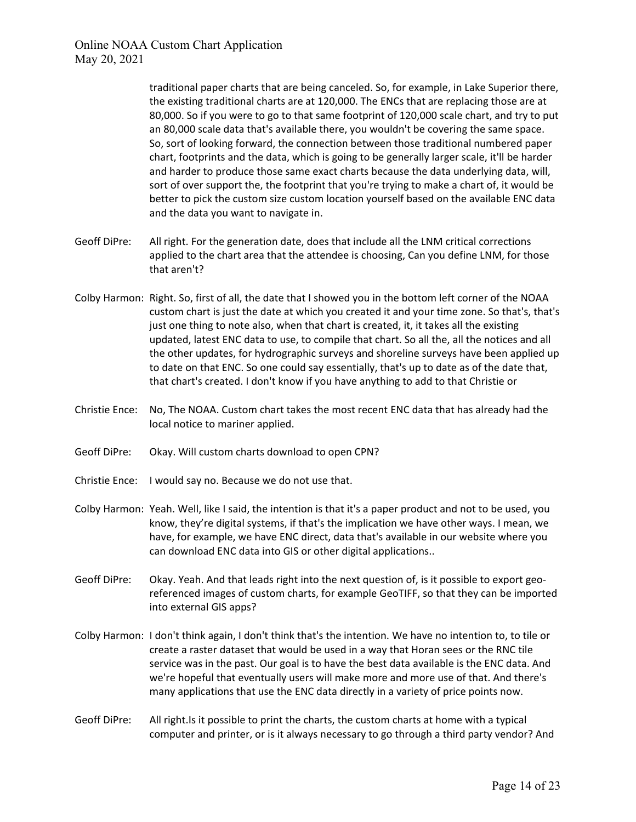traditional paper charts that are being canceled. So, for example, in Lake Superior there, the existing traditional charts are at 120,000. The ENCs that are replacing those are at 80,000. So if you were to go to that same footprint of 120,000 scale chart, and try to put an 80,000 scale data that's available there, you wouldn't be covering the same space. So, sort of looking forward, the connection between those traditional numbered paper chart, footprints and the data, which is going to be generally larger scale, it'll be harder and harder to produce those same exact charts because the data underlying data, will, sort of over support the, the footprint that you're trying to make a chart of, it would be better to pick the custom size custom location yourself based on the available ENC data and the data you want to navigate in.

- Geoff DiPre: All right. For the generation date, does that include all the LNM critical corrections applied to the chart area that the attendee is choosing, Can you define LNM, for those that aren't?
- Colby Harmon: Right. So, first of all, the date that I showed you in the bottom left corner of the NOAA custom chart is just the date at which you created it and your time zone. So that's, that's just one thing to note also, when that chart is created, it, it takes all the existing updated, latest ENC data to use, to compile that chart. So all the, all the notices and all the other updates, for hydrographic surveys and shoreline surveys have been applied up to date on that ENC. So one could say essentially, that's up to date as of the date that, that chart's created. I don't know if you have anything to add to that Christie or
- Christie Ence: No, The NOAA. Custom chart takes the most recent ENC data that has already had the local notice to mariner applied.
- Geoff DiPre: Okay. Will custom charts download to open CPN?
- Christie Ence: I would say no. Because we do not use that.
- Colby Harmon: Yeah. Well, like I said, the intention is that it's a paper product and not to be used, you know, they're digital systems, if that's the implication we have other ways. I mean, we have, for example, we have ENC direct, data that's available in our website where you can download ENC data into GIS or other digital applications..
- Geoff DiPre: Okay. Yeah. And that leads right into the next question of, is it possible to export georeferenced images of custom charts, for example GeoTIFF, so that they can be imported into external GIS apps?
- Colby Harmon: I don't think again, I don't think that's the intention. We have no intention to, to tile or create a raster dataset that would be used in a way that Horan sees or the RNC tile service was in the past. Our goal is to have the best data available is the ENC data. And we're hopeful that eventually users will make more and more use of that. And there's many applications that use the ENC data directly in a variety of price points now.
- Geoff DiPre: All right.Is it possible to print the charts, the custom charts at home with a typical computer and printer, or is it always necessary to go through a third party vendor? And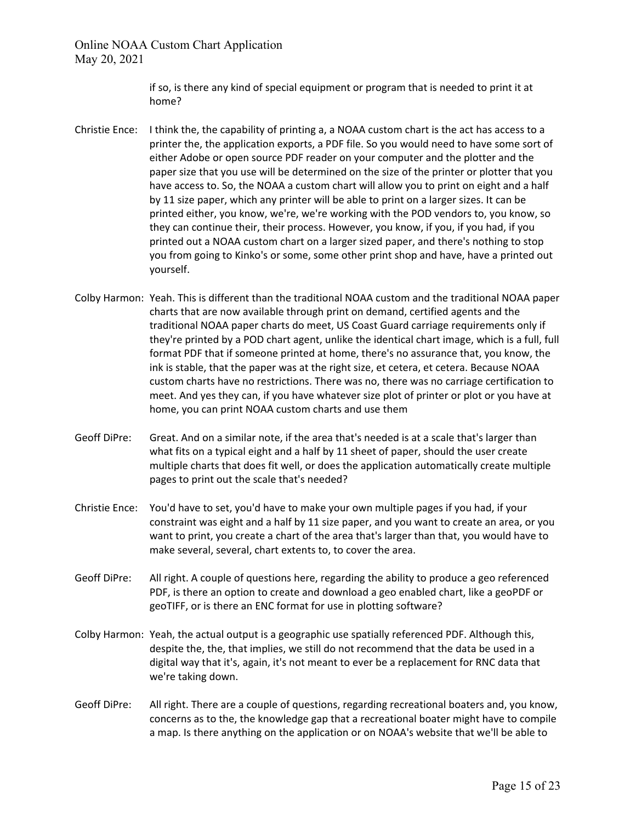> if so, is there any kind of special equipment or program that is needed to print it at home?

- Christie Ence: I think the, the capability of printing a, a NOAA custom chart is the act has access to a printer the, the application exports, a PDF file. So you would need to have some sort of either Adobe or open source PDF reader on your computer and the plotter and the paper size that you use will be determined on the size of the printer or plotter that you have access to. So, the NOAA a custom chart will allow you to print on eight and a half by 11 size paper, which any printer will be able to print on a larger sizes. It can be printed either, you know, we're, we're working with the POD vendors to, you know, so they can continue their, their process. However, you know, if you, if you had, if you printed out a NOAA custom chart on a larger sized paper, and there's nothing to stop you from going to Kinko's or some, some other print shop and have, have a printed out yourself.
- Colby Harmon: Yeah. This is different than the traditional NOAA custom and the traditional NOAA paper charts that are now available through print on demand, certified agents and the traditional NOAA paper charts do meet, US Coast Guard carriage requirements only if they're printed by a POD chart agent, unlike the identical chart image, which is a full, full format PDF that if someone printed at home, there's no assurance that, you know, the ink is stable, that the paper was at the right size, et cetera, et cetera. Because NOAA custom charts have no restrictions. There was no, there was no carriage certification to meet. And yes they can, if you have whatever size plot of printer or plot or you have at home, you can print NOAA custom charts and use them
- Geoff DiPre: Great. And on a similar note, if the area that's needed is at a scale that's larger than what fits on a typical eight and a half by 11 sheet of paper, should the user create multiple charts that does fit well, or does the application automatically create multiple pages to print out the scale that's needed?
- Christie Ence: You'd have to set, you'd have to make your own multiple pages if you had, if your constraint was eight and a half by 11 size paper, and you want to create an area, or you want to print, you create a chart of the area that's larger than that, you would have to make several, several, chart extents to, to cover the area.
- Geoff DiPre: All right. A couple of questions here, regarding the ability to produce a geo referenced PDF, is there an option to create and download a geo enabled chart, like a geoPDF or geoTIFF, or is there an ENC format for use in plotting software?
- Colby Harmon: Yeah, the actual output is a geographic use spatially referenced PDF. Although this, despite the, the, that implies, we still do not recommend that the data be used in a digital way that it's, again, it's not meant to ever be a replacement for RNC data that we're taking down.
- Geoff DiPre: All right. There are a couple of questions, regarding recreational boaters and, you know, concerns as to the, the knowledge gap that a recreational boater might have to compile a map. Is there anything on the application or on NOAA's website that we'll be able to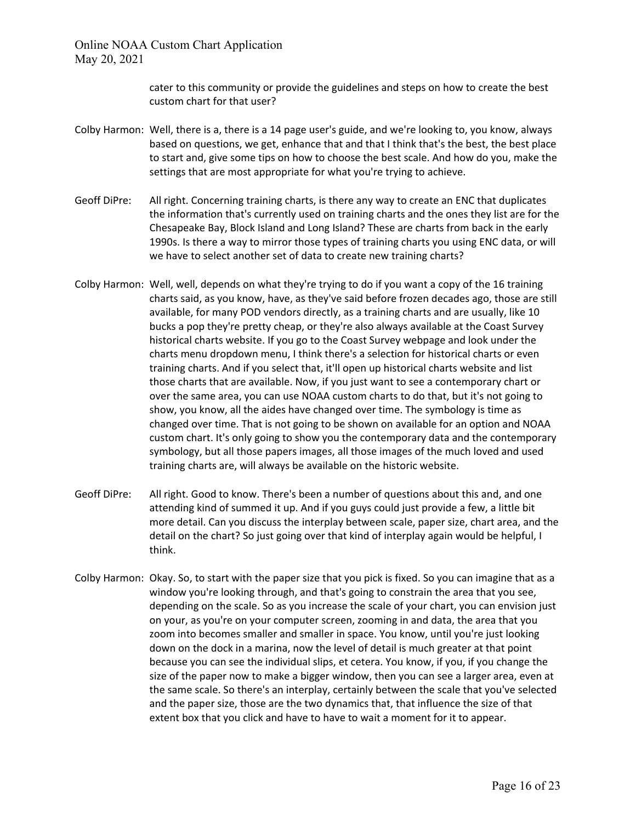> cater to this community or provide the guidelines and steps on how to create the best custom chart for that user?

- Colby Harmon: Well, there is a, there is a 14 page user's guide, and we're looking to, you know, always based on questions, we get, enhance that and that I think that's the best, the best place to start and, give some tips on how to choose the best scale. And how do you, make the settings that are most appropriate for what you're trying to achieve.
- Geoff DiPre: All right. Concerning training charts, is there any way to create an ENC that duplicates the information that's currently used on training charts and the ones they list are for the Chesapeake Bay, Block Island and Long Island? These are charts from back in the early 1990s. Is there a way to mirror those types of training charts you using ENC data, or will we have to select another set of data to create new training charts?
- Colby Harmon: Well, well, depends on what they're trying to do if you want a copy of the 16 training charts said, as you know, have, as they've said before frozen decades ago, those are still available, for many POD vendors directly, as a training charts and are usually, like 10 bucks a pop they're pretty cheap, or they're also always available at the Coast Survey historical charts website. If you go to the Coast Survey webpage and look under the charts menu dropdown menu, I think there's a selection for historical charts or even training charts. And if you select that, it'll open up historical charts website and list those charts that are available. Now, if you just want to see a contemporary chart or over the same area, you can use NOAA custom charts to do that, but it's not going to show, you know, all the aides have changed over time. The symbology is time as changed over time. That is not going to be shown on available for an option and NOAA custom chart. It's only going to show you the contemporary data and the contemporary symbology, but all those papers images, all those images of the much loved and used training charts are, will always be available on the historic website.
- Geoff DiPre: All right. Good to know. There's been a number of questions about this and, and one attending kind of summed it up. And if you guys could just provide a few, a little bit more detail. Can you discuss the interplay between scale, paper size, chart area, and the detail on the chart? So just going over that kind of interplay again would be helpful, I think.
- Colby Harmon: Okay. So, to start with the paper size that you pick is fixed. So you can imagine that as a window you're looking through, and that's going to constrain the area that you see, depending on the scale. So as you increase the scale of your chart, you can envision just on your, as you're on your computer screen, zooming in and data, the area that you zoom into becomes smaller and smaller in space. You know, until you're just looking down on the dock in a marina, now the level of detail is much greater at that point because you can see the individual slips, et cetera. You know, if you, if you change the size of the paper now to make a bigger window, then you can see a larger area, even at the same scale. So there's an interplay, certainly between the scale that you've selected and the paper size, those are the two dynamics that, that influence the size of that extent box that you click and have to have to wait a moment for it to appear.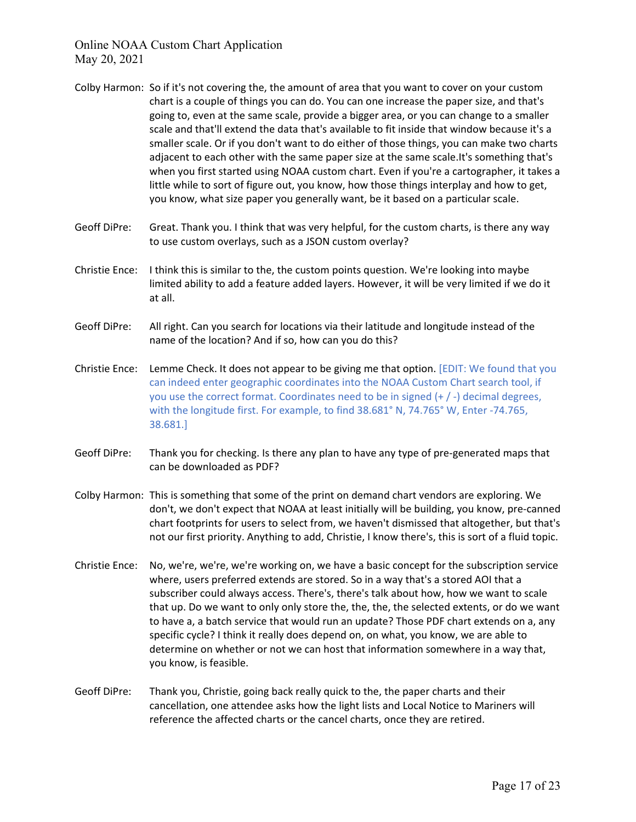- Colby Harmon: So if it's not covering the, the amount of area that you want to cover on your custom chart is a couple of things you can do. You can one increase the paper size, and that's going to, even at the same scale, provide a bigger area, or you can change to a smaller scale and that'll extend the data that's available to fit inside that window because it's a smaller scale. Or if you don't want to do either of those things, you can make two charts adjacent to each other with the same paper size at the same scale.It's something that's when you first started using NOAA custom chart. Even if you're a cartographer, it takes a little while to sort of figure out, you know, how those things interplay and how to get, you know, what size paper you generally want, be it based on a particular scale.
- Geoff DiPre: Great. Thank you. I think that was very helpful, for the custom charts, is there any way to use custom overlays, such as a JSON custom overlay?
- Christie Ence: I think this is similar to the, the custom points question. We're looking into maybe limited ability to add a feature added layers. However, it will be very limited if we do it at all.
- Geoff DiPre: All right. Can you search for locations via their latitude and longitude instead of the name of the location? And if so, how can you do this?
- Christie Ence: Lemme Check. It does not appear to be giving me that option. [EDIT: We found that you can indeed enter geographic coordinates into the NOAA Custom Chart search tool, if you use the correct format. Coordinates need to be in signed (+ / -) decimal degrees, with the longitude first. For example, to find 38.681° N, 74.765° W, Enter -74.765, 38.681.]
- Geoff DiPre: Thank you for checking. Is there any plan to have any type of pre-generated maps that can be downloaded as PDF?
- Colby Harmon: This is something that some of the print on demand chart vendors are exploring. We don't, we don't expect that NOAA at least initially will be building, you know, pre-canned chart footprints for users to select from, we haven't dismissed that altogether, but that's not our first priority. Anything to add, Christie, I know there's, this is sort of a fluid topic.
- Christie Ence: No, we're, we're, we're working on, we have a basic concept for the subscription service where, users preferred extends are stored. So in a way that's a stored AOI that a subscriber could always access. There's, there's talk about how, how we want to scale that up. Do we want to only only store the, the, the, the selected extents, or do we want to have a, a batch service that would run an update? Those PDF chart extends on a, any specific cycle? I think it really does depend on, on what, you know, we are able to determine on whether or not we can host that information somewhere in a way that, you know, is feasible.
- Geoff DiPre: Thank you, Christie, going back really quick to the, the paper charts and their cancellation, one attendee asks how the light lists and Local Notice to Mariners will reference the affected charts or the cancel charts, once they are retired.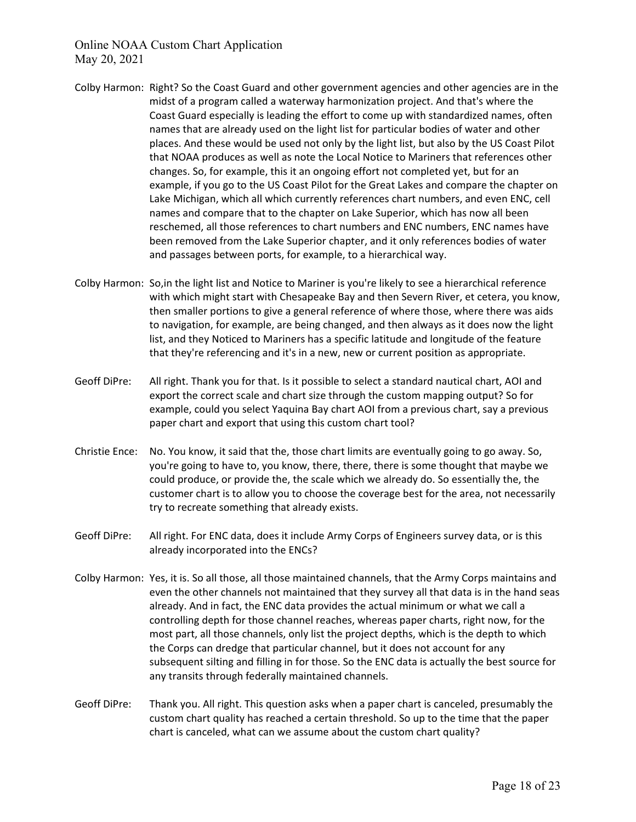- Colby Harmon: Right? So the Coast Guard and other government agencies and other agencies are in the midst of a program called a waterway harmonization project. And that's where the Coast Guard especially is leading the effort to come up with standardized names, often names that are already used on the light list for particular bodies of water and other places. And these would be used not only by the light list, but also by the US Coast Pilot that NOAA produces as well as note the Local Notice to Mariners that references other changes. So, for example, this it an ongoing effort not completed yet, but for an example, if you go to the US Coast Pilot for the Great Lakes and compare the chapter on Lake Michigan, which all which currently references chart numbers, and even ENC, cell names and compare that to the chapter on Lake Superior, which has now all been reschemed, all those references to chart numbers and ENC numbers, ENC names have been removed from the Lake Superior chapter, and it only references bodies of water and passages between ports, for example, to a hierarchical way.
- Colby Harmon: So,in the light list and Notice to Mariner is you're likely to see a hierarchical reference with which might start with Chesapeake Bay and then Severn River, et cetera, you know, then smaller portions to give a general reference of where those, where there was aids to navigation, for example, are being changed, and then always as it does now the light list, and they Noticed to Mariners has a specific latitude and longitude of the feature that they're referencing and it's in a new, new or current position as appropriate.
- Geoff DiPre: All right. Thank you for that. Is it possible to select a standard nautical chart, AOI and export the correct scale and chart size through the custom mapping output? So for example, could you select Yaquina Bay chart AOI from a previous chart, say a previous paper chart and export that using this custom chart tool?
- Christie Ence: No. You know, it said that the, those chart limits are eventually going to go away. So, you're going to have to, you know, there, there, there is some thought that maybe we could produce, or provide the, the scale which we already do. So essentially the, the customer chart is to allow you to choose the coverage best for the area, not necessarily try to recreate something that already exists.
- Geoff DiPre: All right. For ENC data, does it include Army Corps of Engineers survey data, or is this already incorporated into the ENCs?
- Colby Harmon: Yes, it is. So all those, all those maintained channels, that the Army Corps maintains and even the other channels not maintained that they survey all that data is in the hand seas already. And in fact, the ENC data provides the actual minimum or what we call a controlling depth for those channel reaches, whereas paper charts, right now, for the most part, all those channels, only list the project depths, which is the depth to which the Corps can dredge that particular channel, but it does not account for any subsequent silting and filling in for those. So the ENC data is actually the best source for any transits through federally maintained channels.
- Geoff DiPre: Thank you. All right. This question asks when a paper chart is canceled, presumably the custom chart quality has reached a certain threshold. So up to the time that the paper chart is canceled, what can we assume about the custom chart quality?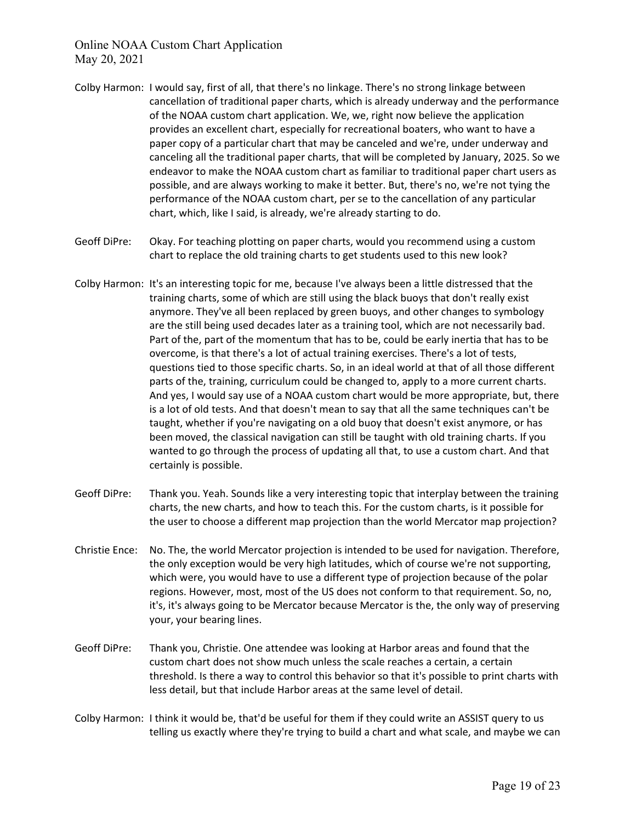- Colby Harmon: I would say, first of all, that there's no linkage. There's no strong linkage between cancellation of traditional paper charts, which is already underway and the performance of the NOAA custom chart application. We, we, right now believe the application provides an excellent chart, especially for recreational boaters, who want to have a paper copy of a particular chart that may be canceled and we're, under underway and canceling all the traditional paper charts, that will be completed by January, 2025. So we endeavor to make the NOAA custom chart as familiar to traditional paper chart users as possible, and are always working to make it better. But, there's no, we're not tying the performance of the NOAA custom chart, per se to the cancellation of any particular chart, which, like I said, is already, we're already starting to do.
- Geoff DiPre: Okay. For teaching plotting on paper charts, would you recommend using a custom chart to replace the old training charts to get students used to this new look?
- Colby Harmon: It's an interesting topic for me, because I've always been a little distressed that the training charts, some of which are still using the black buoys that don't really exist anymore. They've all been replaced by green buoys, and other changes to symbology are the still being used decades later as a training tool, which are not necessarily bad. Part of the, part of the momentum that has to be, could be early inertia that has to be overcome, is that there's a lot of actual training exercises. There's a lot of tests, questions tied to those specific charts. So, in an ideal world at that of all those different parts of the, training, curriculum could be changed to, apply to a more current charts. And yes, I would say use of a NOAA custom chart would be more appropriate, but, there is a lot of old tests. And that doesn't mean to say that all the same techniques can't be taught, whether if you're navigating on a old buoy that doesn't exist anymore, or has been moved, the classical navigation can still be taught with old training charts. If you wanted to go through the process of updating all that, to use a custom chart. And that certainly is possible.
- Geoff DiPre: Thank you. Yeah. Sounds like a very interesting topic that interplay between the training charts, the new charts, and how to teach this. For the custom charts, is it possible for the user to choose a different map projection than the world Mercator map projection?
- Christie Ence: No. The, the world Mercator projection is intended to be used for navigation. Therefore, the only exception would be very high latitudes, which of course we're not supporting, which were, you would have to use a different type of projection because of the polar regions. However, most, most of the US does not conform to that requirement. So, no, it's, it's always going to be Mercator because Mercator is the, the only way of preserving your, your bearing lines.
- Geoff DiPre: Thank you, Christie. One attendee was looking at Harbor areas and found that the custom chart does not show much unless the scale reaches a certain, a certain threshold. Is there a way to control this behavior so that it's possible to print charts with less detail, but that include Harbor areas at the same level of detail.
- Colby Harmon: I think it would be, that'd be useful for them if they could write an ASSIST query to us telling us exactly where they're trying to build a chart and what scale, and maybe we can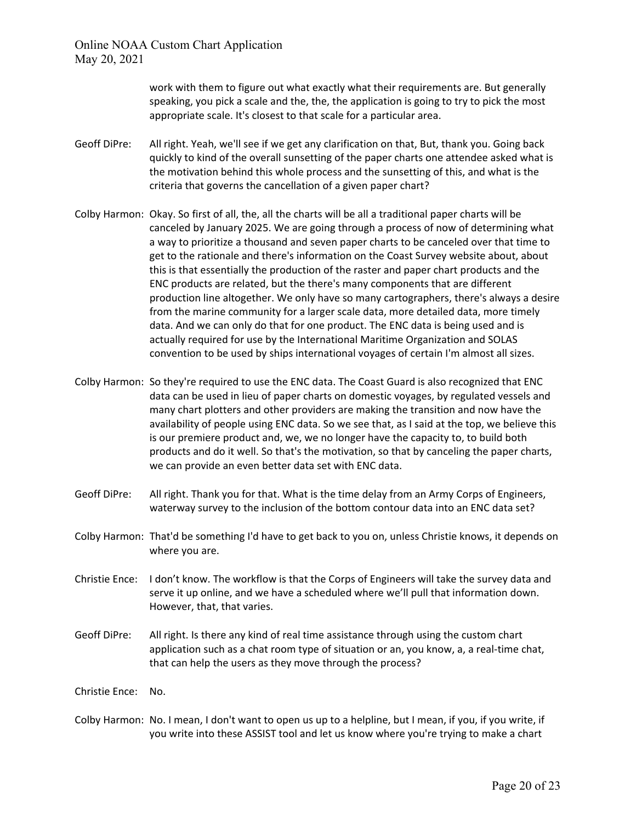> work with them to figure out what exactly what their requirements are. But generally speaking, you pick a scale and the, the, the application is going to try to pick the most appropriate scale. It's closest to that scale for a particular area.

- Geoff DiPre: All right. Yeah, we'll see if we get any clarification on that, But, thank you. Going back quickly to kind of the overall sunsetting of the paper charts one attendee asked what is the motivation behind this whole process and the sunsetting of this, and what is the criteria that governs the cancellation of a given paper chart?
- Colby Harmon: Okay. So first of all, the, all the charts will be all a traditional paper charts will be canceled by January 2025. We are going through a process of now of determining what a way to prioritize a thousand and seven paper charts to be canceled over that time to get to the rationale and there's information on the Coast Survey website about, about this is that essentially the production of the raster and paper chart products and the ENC products are related, but the there's many components that are different production line altogether. We only have so many cartographers, there's always a desire from the marine community for a larger scale data, more detailed data, more timely data. And we can only do that for one product. The ENC data is being used and is actually required for use by the International Maritime Organization and SOLAS convention to be used by ships international voyages of certain I'm almost all sizes.
- Colby Harmon: So they're required to use the ENC data. The Coast Guard is also recognized that ENC data can be used in lieu of paper charts on domestic voyages, by regulated vessels and many chart plotters and other providers are making the transition and now have the availability of people using ENC data. So we see that, as I said at the top, we believe this is our premiere product and, we, we no longer have the capacity to, to build both products and do it well. So that's the motivation, so that by canceling the paper charts, we can provide an even better data set with ENC data.
- Geoff DiPre: All right. Thank you for that. What is the time delay from an Army Corps of Engineers, waterway survey to the inclusion of the bottom contour data into an ENC data set?
- Colby Harmon: That'd be something I'd have to get back to you on, unless Christie knows, it depends on where you are.
- Christie Ence: I don't know. The workflow is that the Corps of Engineers will take the survey data and serve it up online, and we have a scheduled where we'll pull that information down. However, that, that varies.
- Geoff DiPre: All right. Is there any kind of real time assistance through using the custom chart application such as a chat room type of situation or an, you know, a, a real-time chat, that can help the users as they move through the process?

Christie Ence: No.

Colby Harmon: No. I mean, I don't want to open us up to a helpline, but I mean, if you, if you write, if you write into these ASSIST tool and let us know where you're trying to make a chart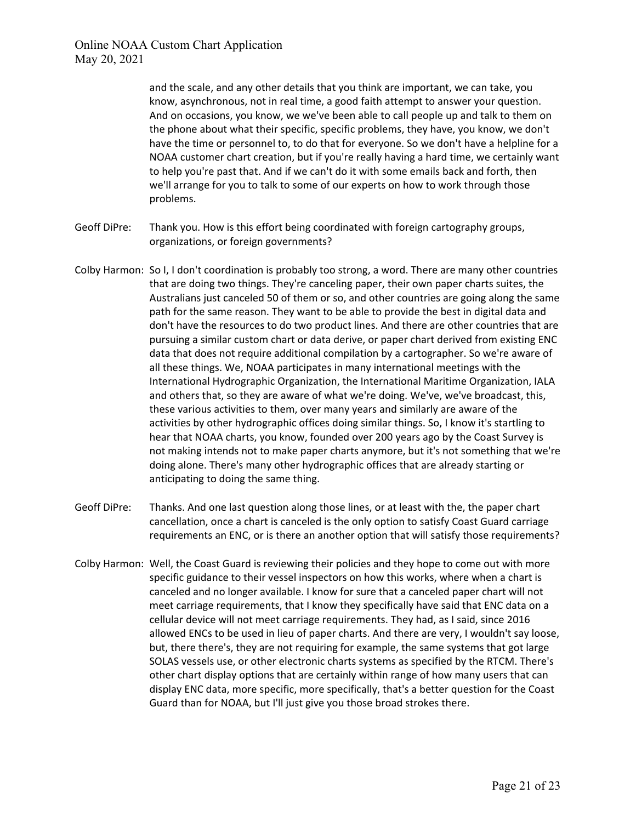and the scale, and any other details that you think are important, we can take, you know, asynchronous, not in real time, a good faith attempt to answer your question. And on occasions, you know, we we've been able to call people up and talk to them on the phone about what their specific, specific problems, they have, you know, we don't have the time or personnel to, to do that for everyone. So we don't have a helpline for a NOAA customer chart creation, but if you're really having a hard time, we certainly want to help you're past that. And if we can't do it with some emails back and forth, then we'll arrange for you to talk to some of our experts on how to work through those problems.

- Geoff DiPre: Thank you. How is this effort being coordinated with foreign cartography groups, organizations, or foreign governments?
- Colby Harmon: So I, I don't coordination is probably too strong, a word. There are many other countries that are doing two things. They're canceling paper, their own paper charts suites, the Australians just canceled 50 of them or so, and other countries are going along the same path for the same reason. They want to be able to provide the best in digital data and don't have the resources to do two product lines. And there are other countries that are pursuing a similar custom chart or data derive, or paper chart derived from existing ENC data that does not require additional compilation by a cartographer. So we're aware of all these things. We, NOAA participates in many international meetings with the International Hydrographic Organization, the International Maritime Organization, IALA and others that, so they are aware of what we're doing. We've, we've broadcast, this, these various activities to them, over many years and similarly are aware of the activities by other hydrographic offices doing similar things. So, I know it's startling to hear that NOAA charts, you know, founded over 200 years ago by the Coast Survey is not making intends not to make paper charts anymore, but it's not something that we're doing alone. There's many other hydrographic offices that are already starting or anticipating to doing the same thing.
- Geoff DiPre: Thanks. And one last question along those lines, or at least with the, the paper chart cancellation, once a chart is canceled is the only option to satisfy Coast Guard carriage requirements an ENC, or is there an another option that will satisfy those requirements?
- Colby Harmon: Well, the Coast Guard is reviewing their policies and they hope to come out with more specific guidance to their vessel inspectors on how this works, where when a chart is canceled and no longer available. I know for sure that a canceled paper chart will not meet carriage requirements, that I know they specifically have said that ENC data on a cellular device will not meet carriage requirements. They had, as I said, since 2016 allowed ENCs to be used in lieu of paper charts. And there are very, I wouldn't say loose, but, there there's, they are not requiring for example, the same systems that got large SOLAS vessels use, or other electronic charts systems as specified by the RTCM. There's other chart display options that are certainly within range of how many users that can display ENC data, more specific, more specifically, that's a better question for the Coast Guard than for NOAA, but I'll just give you those broad strokes there.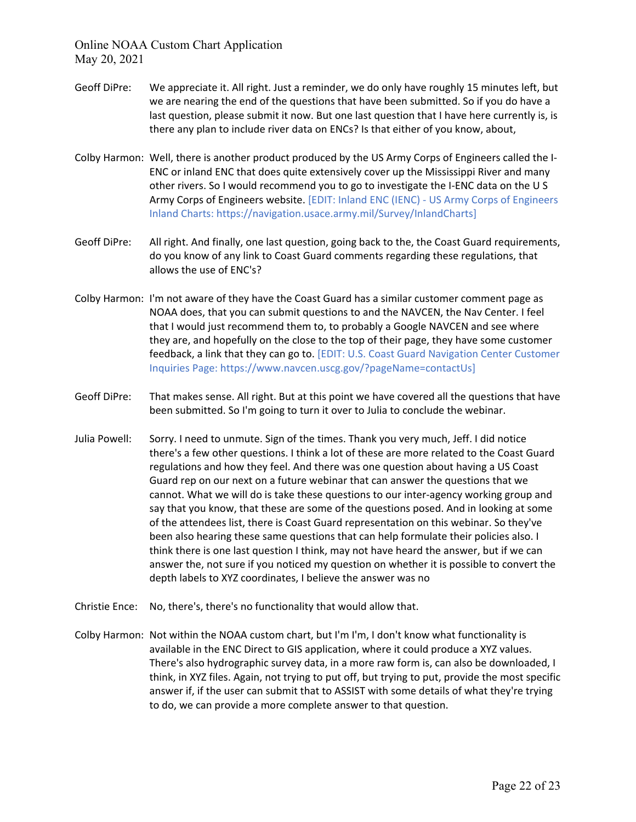- Geoff DiPre: We appreciate it. All right. Just a reminder, we do only have roughly 15 minutes left, but we are nearing the end of the questions that have been submitted. So if you do have a last question, please submit it now. But one last question that I have here currently is, is there any plan to include river data on ENCs? Is that either of you know, about,
- Colby Harmon: Well, there is another product produced by the US Army Corps of Engineers called the I-ENC or inland ENC that does quite extensively cover up the Mississippi River and many other rivers. So I would recommend you to go to investigate the I-ENC data on the U S Army Corps of Engineers website. [EDIT: Inland ENC (IENC) - US Army Corps of Engineers Inland Charts: https://navigation.usace.army.mil/Survey/InlandCharts]
- Geoff DiPre: All right. And finally, one last question, going back to the, the Coast Guard requirements, do you know of any link to Coast Guard comments regarding these regulations, that allows the use of ENC's?
- Colby Harmon: I'm not aware of they have the Coast Guard has a similar customer comment page as NOAA does, that you can submit questions to and the NAVCEN, the Nav Center. I feel that I would just recommend them to, to probably a Google NAVCEN and see where they are, and hopefully on the close to the top of their page, they have some customer feedback, a link that they can go to. [EDIT: U.S. Coast Guard Navigation Center Customer Inquiries Page: https://www.navcen.uscg.gov/?pageName=contactUs]
- Geoff DiPre: That makes sense. All right. But at this point we have covered all the questions that have been submitted. So I'm going to turn it over to Julia to conclude the webinar.
- Julia Powell: Sorry. I need to unmute. Sign of the times. Thank you very much, Jeff. I did notice there's a few other questions. I think a lot of these are more related to the Coast Guard regulations and how they feel. And there was one question about having a US Coast Guard rep on our next on a future webinar that can answer the questions that we cannot. What we will do is take these questions to our inter-agency working group and say that you know, that these are some of the questions posed. And in looking at some of the attendees list, there is Coast Guard representation on this webinar. So they've been also hearing these same questions that can help formulate their policies also. I think there is one last question I think, may not have heard the answer, but if we can answer the, not sure if you noticed my question on whether it is possible to convert the depth labels to XYZ coordinates, I believe the answer was no
- Christie Ence: No, there's, there's no functionality that would allow that.
- Colby Harmon: Not within the NOAA custom chart, but I'm I'm, I don't know what functionality is available in the ENC Direct to GIS application, where it could produce a XYZ values. There's also hydrographic survey data, in a more raw form is, can also be downloaded, I think, in XYZ files. Again, not trying to put off, but trying to put, provide the most specific answer if, if the user can submit that to ASSIST with some details of what they're trying to do, we can provide a more complete answer to that question.